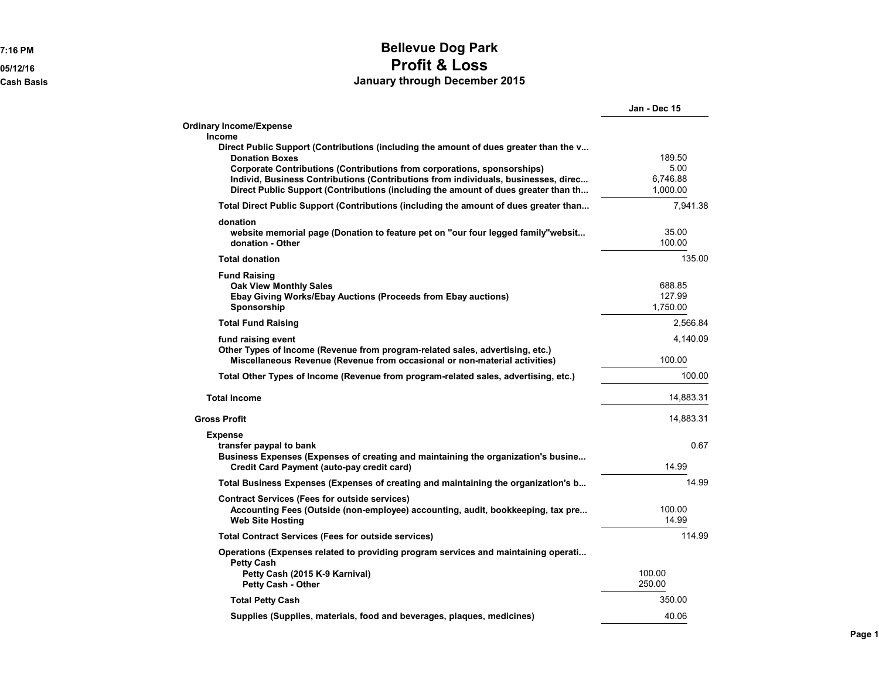## **7:16 PM Bellevue Dog Park 05/12/16 Profit & Loss Cash Basis January through December 2015**

|                                                                                                                                                                                                                                                                                                                                                                                 | Jan - Dec 15                           |
|---------------------------------------------------------------------------------------------------------------------------------------------------------------------------------------------------------------------------------------------------------------------------------------------------------------------------------------------------------------------------------|----------------------------------------|
| <b>Ordinary Income/Expense</b>                                                                                                                                                                                                                                                                                                                                                  |                                        |
| Income<br>Direct Public Support (Contributions (including the amount of dues greater than the v<br><b>Donation Boxes</b><br>Corporate Contributions (Contributions from corporations, sponsorships)<br>Individ, Business Contributions (Contributions from individuals, businesses, direc<br>Direct Public Support (Contributions (including the amount of dues greater than th | 189.50<br>5.00<br>6,746.88<br>1,000.00 |
| Total Direct Public Support (Contributions (including the amount of dues greater than                                                                                                                                                                                                                                                                                           | 7,941.38                               |
| donation<br>website memorial page (Donation to feature pet on "our four legged family"websit<br>donation - Other                                                                                                                                                                                                                                                                | 35.00<br>100.00                        |
| <b>Total donation</b>                                                                                                                                                                                                                                                                                                                                                           | 135.00                                 |
| <b>Fund Raising</b><br><b>Oak View Monthly Sales</b><br>Ebay Giving Works/Ebay Auctions (Proceeds from Ebay auctions)<br>Sponsorship                                                                                                                                                                                                                                            | 688.85<br>127.99<br>1.750.00           |
| <b>Total Fund Raising</b>                                                                                                                                                                                                                                                                                                                                                       | 2,566.84                               |
| fund raising event                                                                                                                                                                                                                                                                                                                                                              | 4,140.09                               |
| Other Types of Income (Revenue from program-related sales, advertising, etc.)<br>Miscellaneous Revenue (Revenue from occasional or non-material activities)                                                                                                                                                                                                                     | 100.00                                 |
| Total Other Types of Income (Revenue from program-related sales, advertising, etc.)                                                                                                                                                                                                                                                                                             | 100.00                                 |
| <b>Total Income</b>                                                                                                                                                                                                                                                                                                                                                             | 14,883.31                              |
| <b>Gross Profit</b>                                                                                                                                                                                                                                                                                                                                                             | 14,883.31                              |
| <b>Expense</b><br>transfer paypal to bank<br>Business Expenses (Expenses of creating and maintaining the organization's busine<br>Credit Card Payment (auto-pay credit card)                                                                                                                                                                                                    | 0.67<br>14.99                          |
| Total Business Expenses (Expenses of creating and maintaining the organization's b                                                                                                                                                                                                                                                                                              | 14.99                                  |
| <b>Contract Services (Fees for outside services)</b>                                                                                                                                                                                                                                                                                                                            |                                        |
| Accounting Fees (Outside (non-employee) accounting, audit, bookkeeping, tax pre<br><b>Web Site Hosting</b>                                                                                                                                                                                                                                                                      | 100.00<br>14.99                        |
| <b>Total Contract Services (Fees for outside services)</b>                                                                                                                                                                                                                                                                                                                      | 114.99                                 |
| Operations (Expenses related to providing program services and maintaining operati<br><b>Petty Cash</b><br>Petty Cash (2015 K-9 Karnival)<br><b>Petty Cash - Other</b>                                                                                                                                                                                                          | 100.00<br>250.00                       |
| <b>Total Petty Cash</b>                                                                                                                                                                                                                                                                                                                                                         | 350.00                                 |
| Supplies (Supplies, materials, food and beverages, plaques, medicines)                                                                                                                                                                                                                                                                                                          | 40.06                                  |